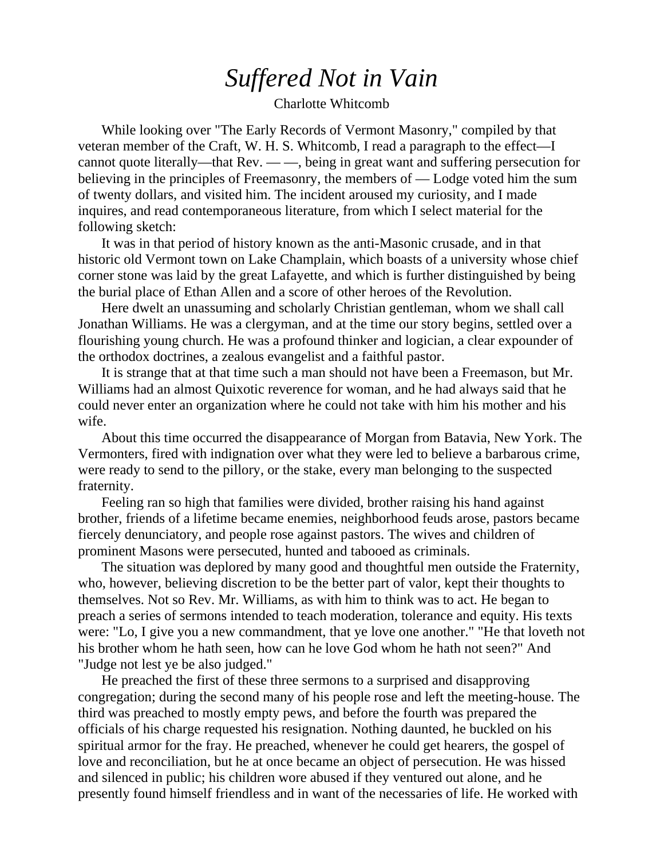## *Suffered Not in Vain*

Charlotte Whitcomb

While looking over "The Early Records of Vermont Masonry," compiled by that veteran member of the Craft, W. H. S. Whitcomb, I read a paragraph to the effect—I cannot quote literally—that Rev. — —, being in great want and suffering persecution for believing in the principles of Freemasonry, the members of — Lodge voted him the sum of twenty dollars, and visited him. The incident aroused my curiosity, and I made inquires, and read contemporaneous literature, from which I select material for the following sketch:

It was in that period of history known as the anti-Masonic crusade, and in that historic old Vermont town on Lake Champlain, which boasts of a university whose chief corner stone was laid by the great Lafayette, and which is further distinguished by being the burial place of Ethan Allen and a score of other heroes of the Revolution.

Here dwelt an unassuming and scholarly Christian gentleman, whom we shall call Jonathan Williams. He was a clergyman, and at the time our story begins, settled over a flourishing young church. He was a profound thinker and logician, a clear expounder of the orthodox doctrines, a zealous evangelist and a faithful pastor.

It is strange that at that time such a man should not have been a Freemason, but Mr. Williams had an almost Quixotic reverence for woman, and he had always said that he could never enter an organization where he could not take with him his mother and his wife.

About this time occurred the disappearance of Morgan from Batavia, New York. The Vermonters, fired with indignation over what they were led to believe a barbarous crime, were ready to send to the pillory, or the stake, every man belonging to the suspected fraternity.

Feeling ran so high that families were divided, brother raising his hand against brother, friends of a lifetime became enemies, neighborhood feuds arose, pastors became fiercely denunciatory, and people rose against pastors. The wives and children of prominent Masons were persecuted, hunted and tabooed as criminals.

The situation was deplored by many good and thoughtful men outside the Fraternity, who, however, believing discretion to be the better part of valor, kept their thoughts to themselves. Not so Rev. Mr. Williams, as with him to think was to act. He began to preach a series of sermons intended to teach moderation, tolerance and equity. His texts were: "Lo, I give you a new commandment, that ye love one another." "He that loveth not his brother whom he hath seen, how can he love God whom he hath not seen?" And "Judge not lest ye be also judged."

He preached the first of these three sermons to a surprised and disapproving congregation; during the second many of his people rose and left the meeting-house. The third was preached to mostly empty pews, and before the fourth was prepared the officials of his charge requested his resignation. Nothing daunted, he buckled on his spiritual armor for the fray. He preached, whenever he could get hearers, the gospel of love and reconciliation, but he at once became an object of persecution. He was hissed and silenced in public; his children wore abused if they ventured out alone, and he presently found himself friendless and in want of the necessaries of life. He worked with